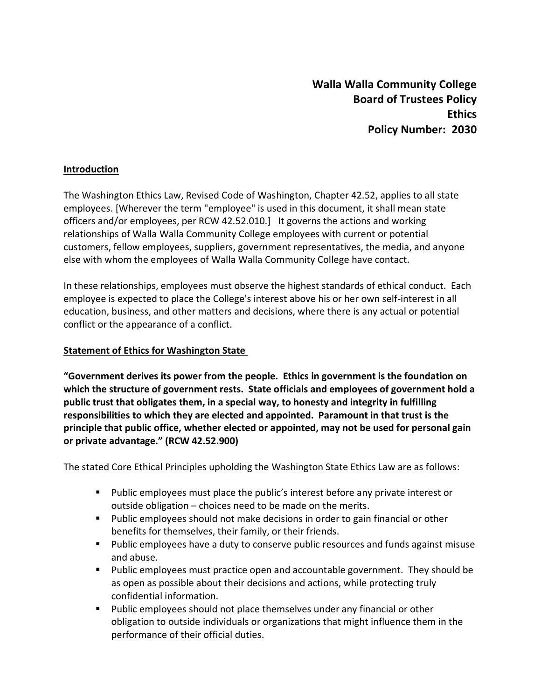#### **Introduction**

The Washington Ethics Law, Revised Code of Washington, Chapter 42.52, applies to all state employees. [Wherever the term "employee" is used in this document, it shall mean state officers and/or employees, per RCW 42.52.010.] It governs the actions and working relationships of Walla Walla Community College employees with current or potential customers, fellow employees, suppliers, government representatives, the media, and anyone else with whom the employees of Walla Walla Community College have contact.

In these relationships, employees must observe the highest standards of ethical conduct. Each employee is expected to place the College's interest above his or her own self-interest in all education, business, and other matters and decisions, where there is any actual or potential conflict or the appearance of a conflict.

#### **Statement of Ethics for Washington State**

**"Government derives its power from the people. Ethics in government is the foundation on which the structure of government rests. State officials and employees of government hold a public trust that obligates them, in a special way, to honesty and integrity in fulfilling responsibilities to which they are elected and appointed. Paramount in that trust is the principle that public office, whether elected or appointed, may not be used for personal gain or private advantage." (RCW 42.52.900)**

The stated Core Ethical Principles upholding the Washington State Ethics Law are as follows:

- **Public employees must place the public's interest before any private interest or** outside obligation – choices need to be made on the merits.
- **Public employees should not make decisions in order to gain financial or other** benefits for themselves, their family, or their friends.
- Public employees have a duty to conserve public resources and funds against misuse and abuse.
- Public employees must practice open and accountable government. They should be as open as possible about their decisions and actions, while protecting truly confidential information.
- **Public employees should not place themselves under any financial or other** obligation to outside individuals or organizations that might influence them in the performance of their official duties.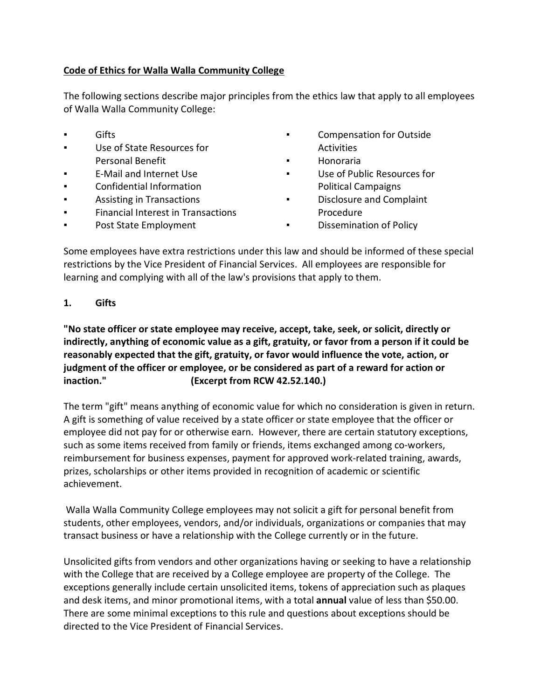## **Code of Ethics for Walla Walla Community College**

The following sections describe major principles from the ethics law that apply to all employees of Walla Walla Community College:

- 
- **■** Use of State Resources for Activities Personal Benefit **The Contract Executive Contract Figure 2** Honoraria
- 
- 
- 
- **•** Financial Interest in Transactions **Procedure**
- Post State Employment ■ Dissemination of Policy
- **Example 3** Compensation for Outside **The Compensation for Outside** 
	-
- E-Mail and Internet Use **E-Mail and Internet Use E-Mail and Internet Use Terms** Confidential Information **Political Campaigns**
- Assisting in Transactions Disclosure and Complaint
	-

Some employees have extra restrictions under this law and should be informed of these special restrictions by the Vice President of Financial Services. All employees are responsible for learning and complying with all of the law's provisions that apply to them.

## **1. Gifts**

**"No state officer or state employee may receive, accept, take, seek, or solicit, directly or indirectly, anything of economic value as a gift, gratuity, or favor from a person if it could be reasonably expected that the gift, gratuity, or favor would influence the vote, action, or judgment of the officer or employee, or be considered as part of a reward for action or inaction." (Excerpt from RCW 42.52.140.)**

The term "gift" means anything of economic value for which no consideration is given in return. A gift is something of value received by a state officer or state employee that the officer or employee did not pay for or otherwise earn. However, there are certain statutory exceptions, such as some items received from family or friends, items exchanged among co-workers, reimbursement for business expenses, payment for approved work-related training, awards, prizes, scholarships or other items provided in recognition of academic or scientific achievement.

Walla Walla Community College employees may not solicit a gift for personal benefit from students, other employees, vendors, and/or individuals, organizations or companies that may transact business or have a relationship with the College currently or in the future.

Unsolicited gifts from vendors and other organizations having or seeking to have a relationship with the College that are received by a College employee are property of the College. The exceptions generally include certain unsolicited items, tokens of appreciation such as plaques and desk items, and minor promotional items, with a total **annual** value of less than \$50.00. There are some minimal exceptions to this rule and questions about exceptions should be directed to the Vice President of Financial Services.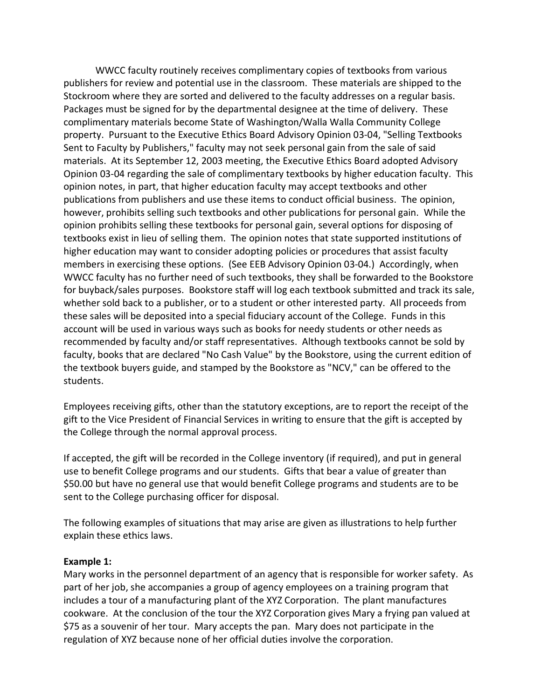WWCC faculty routinely receives complimentary copies of textbooks from various publishers for review and potential use in the classroom. These materials are shipped to the Stockroom where they are sorted and delivered to the faculty addresses on a regular basis. Packages must be signed for by the departmental designee at the time of delivery. These complimentary materials become State of Washington/Walla Walla Community College property. Pursuant to the Executive Ethics Board Advisory Opinion 03-04, "Selling Textbooks Sent to Faculty by Publishers," faculty may not seek personal gain from the sale of said materials. At its September 12, 2003 meeting, the Executive Ethics Board adopted Advisory Opinion 03-04 regarding the sale of complimentary textbooks by higher education faculty. This opinion notes, in part, that higher education faculty may accept textbooks and other publications from publishers and use these items to conduct official business. The opinion, however, prohibits selling such textbooks and other publications for personal gain. While the opinion prohibits selling these textbooks for personal gain, several options for disposing of textbooks exist in lieu of selling them. The opinion notes that state supported institutions of higher education may want to consider adopting policies or procedures that assist faculty members in exercising these options. (See EEB Advisory Opinion 03-04.) Accordingly, when WWCC faculty has no further need of such textbooks, they shall be forwarded to the Bookstore for buyback/sales purposes. Bookstore staff will log each textbook submitted and track its sale, whether sold back to a publisher, or to a student or other interested party. All proceeds from these sales will be deposited into a special fiduciary account of the College. Funds in this account will be used in various ways such as books for needy students or other needs as recommended by faculty and/or staff representatives. Although textbooks cannot be sold by faculty, books that are declared "No Cash Value" by the Bookstore, using the current edition of the textbook buyers guide, and stamped by the Bookstore as "NCV," can be offered to the students.

Employees receiving gifts, other than the statutory exceptions, are to report the receipt of the gift to the Vice President of Financial Services in writing to ensure that the gift is accepted by the College through the normal approval process.

If accepted, the gift will be recorded in the College inventory (if required), and put in general use to benefit College programs and our students. Gifts that bear a value of greater than \$50.00 but have no general use that would benefit College programs and students are to be sent to the College purchasing officer for disposal.

The following examples of situations that may arise are given as illustrations to help further explain these ethics laws.

#### **Example 1:**

Mary works in the personnel department of an agency that is responsible for worker safety. As part of her job, she accompanies a group of agency employees on a training program that includes a tour of a manufacturing plant of the XYZ Corporation. The plant manufactures cookware. At the conclusion of the tour the XYZ Corporation gives Mary a frying pan valued at \$75 as a souvenir of her tour. Mary accepts the pan. Mary does not participate in the regulation of XYZ because none of her official duties involve the corporation.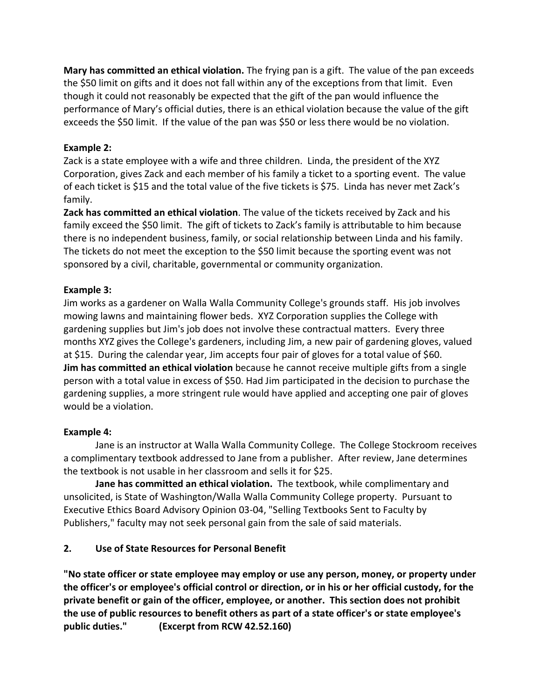**Mary has committed an ethical violation.** The frying pan is a gift. The value of the pan exceeds the \$50 limit on gifts and it does not fall within any of the exceptions from that limit. Even though it could not reasonably be expected that the gift of the pan would influence the performance of Mary's official duties, there is an ethical violation because the value of the gift exceeds the \$50 limit. If the value of the pan was \$50 or less there would be no violation.

## **Example 2:**

Zack is a state employee with a wife and three children. Linda, the president of the XYZ Corporation, gives Zack and each member of his family a ticket to a sporting event. The value of each ticket is \$15 and the total value of the five tickets is \$75. Linda has never met Zack's family.

**Zack has committed an ethical violation**. The value of the tickets received by Zack and his family exceed the \$50 limit. The gift of tickets to Zack's family is attributable to him because there is no independent business, family, or social relationship between Linda and his family. The tickets do not meet the exception to the \$50 limit because the sporting event was not sponsored by a civil, charitable, governmental or community organization.

## **Example 3:**

Jim works as a gardener on Walla Walla Community College's grounds staff. His job involves mowing lawns and maintaining flower beds. XYZ Corporation supplies the College with gardening supplies but Jim's job does not involve these contractual matters. Every three months XYZ gives the College's gardeners, including Jim, a new pair of gardening gloves, valued at \$15. During the calendar year, Jim accepts four pair of gloves for a total value of \$60. **Jim has committed an ethical violation** because he cannot receive multiple gifts from a single person with a total value in excess of \$50. Had Jim participated in the decision to purchase the gardening supplies, a more stringent rule would have applied and accepting one pair of gloves would be a violation.

## **Example 4:**

Jane is an instructor at Walla Walla Community College. The College Stockroom receives a complimentary textbook addressed to Jane from a publisher. After review, Jane determines the textbook is not usable in her classroom and sells it for \$25.

**Jane has committed an ethical violation.** The textbook, while complimentary and unsolicited, is State of Washington/Walla Walla Community College property. Pursuant to Executive Ethics Board Advisory Opinion 03-04, "Selling Textbooks Sent to Faculty by Publishers," faculty may not seek personal gain from the sale of said materials.

# **2. Use of State Resources for Personal Benefit**

**"No state officer or state employee may employ or use any person, money, or property under the officer's or employee's official control or direction, or in his or her official custody, for the private benefit or gain of the officer, employee, or another. This section does not prohibit the use of public resources to benefit others as part of a state officer's or state employee's public duties." (Excerpt from RCW 42.52.160)**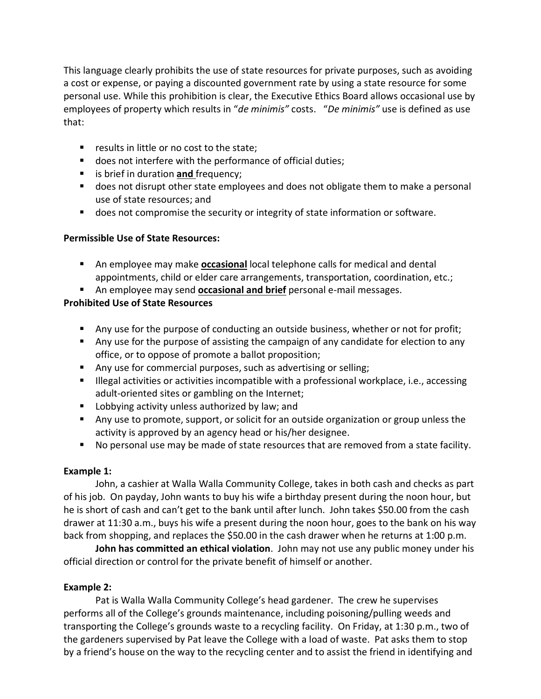This language clearly prohibits the use of state resources for private purposes, such as avoiding a cost or expense, or paying a discounted government rate by using a state resource for some personal use. While this prohibition is clear, the Executive Ethics Board allows occasional use by employees of property which results in "*de minimis"* costs. "*De minimis"* use is defined as use that:

- **F** results in little or no cost to the state;
- **does not interfere with the performance of official duties;**
- **i** is brief in duration **and** frequency;
- does not disrupt other state employees and does not obligate them to make a personal use of state resources; and
- **does not compromise the security or integrity of state information or software.**

## **Permissible Use of State Resources:**

- An employee may make **occasional** local telephone calls for medical and dental appointments, child or elder care arrangements, transportation, coordination, etc.;
- An employee may send **occasional and brief** personal e-mail messages.

## **Prohibited Use of State Resources**

- **Any use for the purpose of conducting an outside business, whether or not for profit;**
- Any use for the purpose of assisting the campaign of any candidate for election to any office, or to oppose of promote a ballot proposition;
- Any use for commercial purposes, such as advertising or selling;
- **Illegal activities or activities incompatible with a professional workplace, i.e., accessing** adult-oriented sites or gambling on the Internet;
- **Lobbying activity unless authorized by law; and**
- **Any use to promote, support, or solicit for an outside organization or group unless the** activity is approved by an agency head or his/her designee.
- No personal use may be made of state resources that are removed from a state facility.

## **Example 1:**

John, a cashier at Walla Walla Community College, takes in both cash and checks as part of his job. On payday, John wants to buy his wife a birthday present during the noon hour, but he is short of cash and can't get to the bank until after lunch. John takes \$50.00 from the cash drawer at 11:30 a.m., buys his wife a present during the noon hour, goes to the bank on his way back from shopping, and replaces the \$50.00 in the cash drawer when he returns at 1:00 p.m.

**John has committed an ethical violation**. John may not use any public money under his official direction or control for the private benefit of himself or another.

# **Example 2:**

Pat is Walla Walla Community College's head gardener. The crew he supervises performs all of the College's grounds maintenance, including poisoning/pulling weeds and transporting the College's grounds waste to a recycling facility. On Friday, at 1:30 p.m., two of the gardeners supervised by Pat leave the College with a load of waste. Pat asks them to stop by a friend's house on the way to the recycling center and to assist the friend in identifying and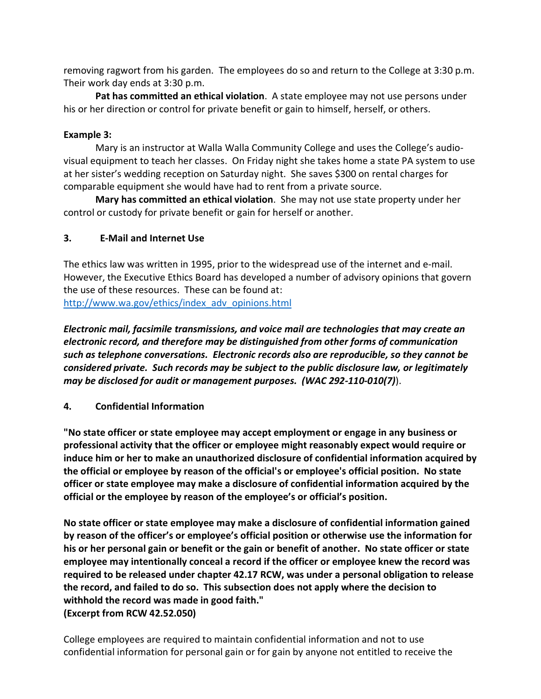removing ragwort from his garden. The employees do so and return to the College at 3:30 p.m. Their work day ends at 3:30 p.m.

**Pat has committed an ethical violation**. A state employee may not use persons under his or her direction or control for private benefit or gain to himself, herself, or others.

#### **Example 3:**

Mary is an instructor at Walla Walla Community College and uses the College's audiovisual equipment to teach her classes. On Friday night she takes home a state PA system to use at her sister's wedding reception on Saturday night. She saves \$300 on rental charges for comparable equipment she would have had to rent from a private source.

**Mary has committed an ethical violation**. She may not use state property under her control or custody for private benefit or gain for herself or another.

## **3. E-Mail and Internet Use**

The ethics law was written in 1995, prior to the widespread use of the internet and e-mail. However, the Executive Ethics Board has developed a number of advisory opinions that govern the use of these resources. These can be found at: [http://www.wa.gov/ethics/index\\_adv\\_opinions.html](http://www.wa.gov/ethics/index_adv_opinions.html)

*Electronic mail, facsimile transmissions, and voice mail are technologies that may create an electronic record, and therefore may be distinguished from other forms of communication such as telephone conversations. Electronic records also are reproducible, so they cannot be considered private. Such records may be subject to the public disclosure law, or legitimately may be disclosed for audit or management purposes. (WAC 292-110-010(7)*).

**4. Confidential Information**

**"No state officer or state employee may accept employment or engage in any business or professional activity that the officer or employee might reasonably expect would require or induce him or her to make an unauthorized disclosure of confidential information acquired by the official or employee by reason of the official's or employee's official position. No state officer or state employee may make a disclosure of confidential information acquired by the official or the employee by reason of the employee's or official's position.**

**No state officer or state employee may make a disclosure of confidential information gained by reason of the officer's or employee's official position or otherwise use the information for his or her personal gain or benefit or the gain or benefit of another. No state officer or state employee may intentionally conceal a record if the officer or employee knew the record was required to be released under chapter 42.17 RCW, was under a personal obligation to release the record, and failed to do so. This subsection does not apply where the decision to withhold the record was made in good faith."**

**(Excerpt from RCW 42.52.050)**

College employees are required to maintain confidential information and not to use confidential information for personal gain or for gain by anyone not entitled to receive the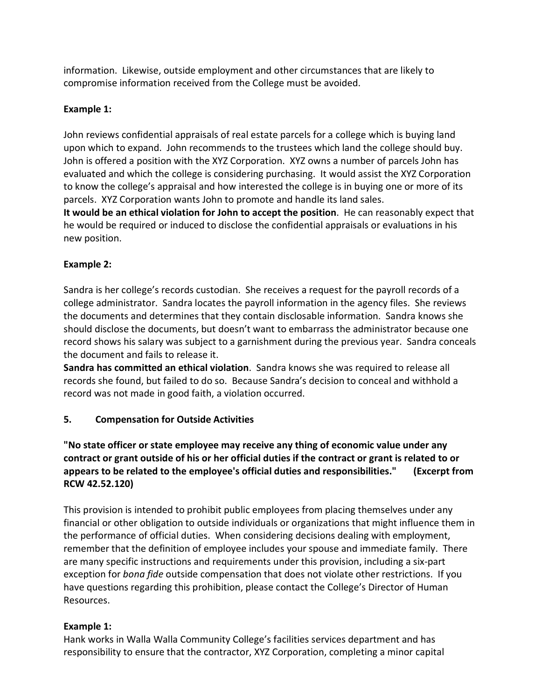information. Likewise, outside employment and other circumstances that are likely to compromise information received from the College must be avoided.

## **Example 1:**

John reviews confidential appraisals of real estate parcels for a college which is buying land upon which to expand. John recommends to the trustees which land the college should buy. John is offered a position with the XYZ Corporation. XYZ owns a number of parcels John has evaluated and which the college is considering purchasing. It would assist the XYZ Corporation to know the college's appraisal and how interested the college is in buying one or more of its parcels. XYZ Corporation wants John to promote and handle its land sales.

**It would be an ethical violation for John to accept the position**. He can reasonably expect that he would be required or induced to disclose the confidential appraisals or evaluations in his new position.

## **Example 2:**

Sandra is her college's records custodian. She receives a request for the payroll records of a college administrator. Sandra locates the payroll information in the agency files. She reviews the documents and determines that they contain disclosable information. Sandra knows she should disclose the documents, but doesn't want to embarrass the administrator because one record shows his salary was subject to a garnishment during the previous year. Sandra conceals the document and fails to release it.

**Sandra has committed an ethical violation**. Sandra knows she was required to release all records she found, but failed to do so. Because Sandra's decision to conceal and withhold a record was not made in good faith, a violation occurred.

# **5. Compensation for Outside Activities**

**"No state officer or state employee may receive any thing of economic value under any contract or grant outside of his or her official duties if the contract or grant is related to or appears to be related to the employee's official duties and responsibilities." (Excerpt from RCW 42.52.120)**

This provision is intended to prohibit public employees from placing themselves under any financial or other obligation to outside individuals or organizations that might influence them in the performance of official duties. When considering decisions dealing with employment, remember that the definition of employee includes your spouse and immediate family. There are many specific instructions and requirements under this provision, including a six-part exception for *bona fide* outside compensation that does not violate other restrictions. If you have questions regarding this prohibition, please contact the College's Director of Human Resources.

## **Example 1:**

Hank works in Walla Walla Community College's facilities services department and has responsibility to ensure that the contractor, XYZ Corporation, completing a minor capital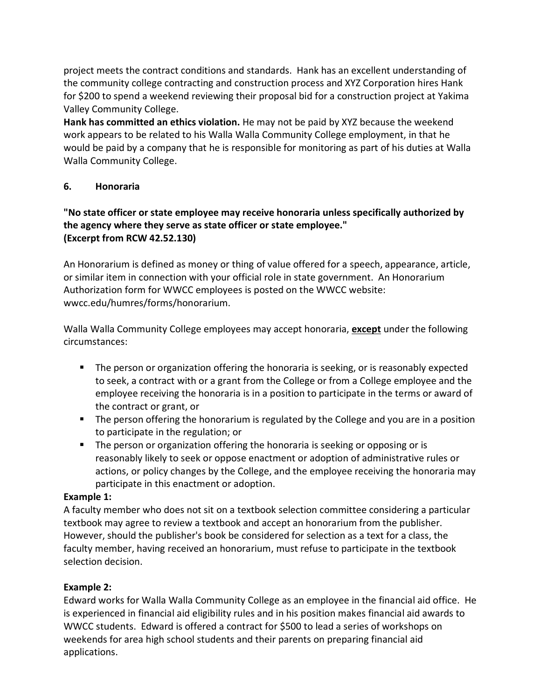project meets the contract conditions and standards. Hank has an excellent understanding of the community college contracting and construction process and XYZ Corporation hires Hank for \$200 to spend a weekend reviewing their proposal bid for a construction project at Yakima Valley Community College.

**Hank has committed an ethics violation.** He may not be paid by XYZ because the weekend work appears to be related to his Walla Walla Community College employment, in that he would be paid by a company that he is responsible for monitoring as part of his duties at Walla Walla Community College.

## **6. Honoraria**

## **"No state officer or state employee may receive honoraria unless specifically authorized by the agency where they serve as state officer or state employee." (Excerpt from RCW 42.52.130)**

An Honorarium is defined as money or thing of value offered for a speech, appearance, article, or similar item in connection with your official role in state government. An Honorarium Authorization form for WWCC employees is posted on the WWCC website: wwcc.edu/humres/forms/honorarium.

Walla Walla Community College employees may accept honoraria, **except** under the following circumstances:

- **The person or organization offering the honoraria is seeking, or is reasonably expected** to seek, a contract with or a grant from the College or from a College employee and the employee receiving the honoraria is in a position to participate in the terms or award of the contract or grant, or
- **The person offering the honorarium is regulated by the College and you are in a position** to participate in the regulation; or
- **The person or organization offering the honoraria is seeking or opposing or is** reasonably likely to seek or oppose enactment or adoption of administrative rules or actions, or policy changes by the College, and the employee receiving the honoraria may participate in this enactment or adoption.

## **Example 1:**

A faculty member who does not sit on a textbook selection committee considering a particular textbook may agree to review a textbook and accept an honorarium from the publisher. However, should the publisher's book be considered for selection as a text for a class, the faculty member, having received an honorarium, must refuse to participate in the textbook selection decision.

# **Example 2:**

Edward works for Walla Walla Community College as an employee in the financial aid office. He is experienced in financial aid eligibility rules and in his position makes financial aid awards to WWCC students. Edward is offered a contract for \$500 to lead a series of workshops on weekends for area high school students and their parents on preparing financial aid applications.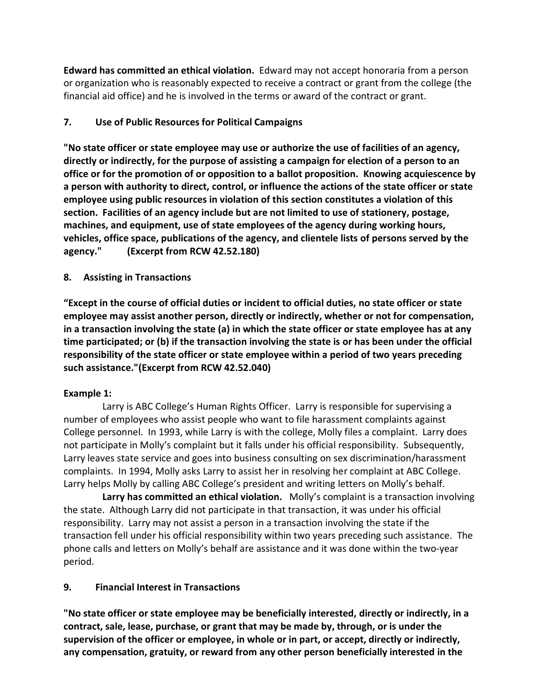**Edward has committed an ethical violation.** Edward may not accept honoraria from a person or organization who is reasonably expected to receive a contract or grant from the college (the financial aid office) and he is involved in the terms or award of the contract or grant.

## **7. Use of Public Resources for Political Campaigns**

**"No state officer or state employee may use or authorize the use of facilities of an agency, directly or indirectly, for the purpose of assisting a campaign for election of a person to an office or for the promotion of or opposition to a ballot proposition. Knowing acquiescence by a person with authority to direct, control, or influence the actions of the state officer or state employee using public resources in violation of this section constitutes a violation of this section. Facilities of an agency include but are not limited to use of stationery, postage, machines, and equipment, use of state employees of the agency during working hours, vehicles, office space, publications of the agency, and clientele lists of persons served by the agency." (Excerpt from RCW 42.52.180)**

## **8. Assisting in Transactions**

**"Except in the course of official duties or incident to official duties, no state officer or state employee may assist another person, directly or indirectly, whether or not for compensation, in a transaction involving the state (a) in which the state officer or state employee has at any time participated; or (b) if the transaction involving the state is or has been under the official responsibility of the state officer or state employee within a period of two years preceding such assistance."(Excerpt from RCW 42.52.040)**

## **Example 1:**

 Larry is ABC College's Human Rights Officer. Larry is responsible for supervising a number of employees who assist people who want to file harassment complaints against College personnel. In 1993, while Larry is with the college, Molly files a complaint. Larry does not participate in Molly's complaint but it falls under his official responsibility. Subsequently, Larry leaves state service and goes into business consulting on sex discrimination/harassment complaints. In 1994, Molly asks Larry to assist her in resolving her complaint at ABC College. Larry helps Molly by calling ABC College's president and writing letters on Molly's behalf.

 **Larry has committed an ethical violation.** Molly's complaint is a transaction involving the state. Although Larry did not participate in that transaction, it was under his official responsibility. Larry may not assist a person in a transaction involving the state if the transaction fell under his official responsibility within two years preceding such assistance. The phone calls and letters on Molly's behalf are assistance and it was done within the two-year period.

## **9. Financial Interest in Transactions**

**"No state officer or state employee may be beneficially interested, directly or indirectly, in a contract, sale, lease, purchase, or grant that may be made by, through, or is under the supervision of the officer or employee, in whole or in part, or accept, directly or indirectly, any compensation, gratuity, or reward from any other person beneficially interested in the**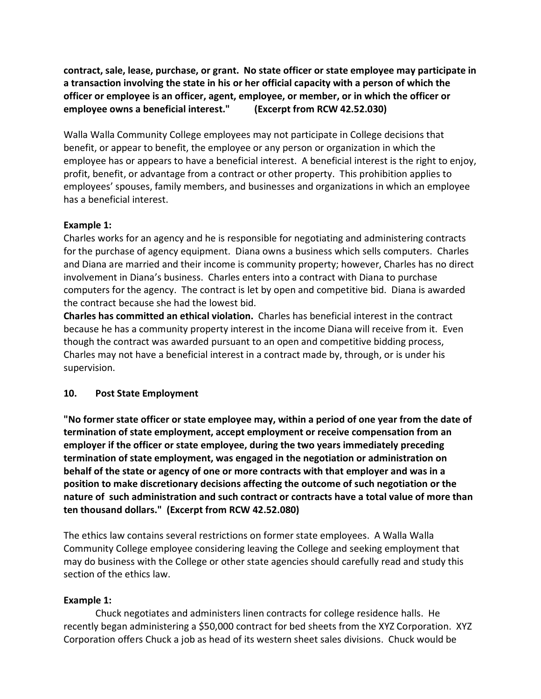**contract, sale, lease, purchase, or grant. No state officer or state employee may participate in a transaction involving the state in his or her official capacity with a person of which the officer or employee is an officer, agent, employee, or member, or in which the officer or employee owns a beneficial interest." (Excerpt from RCW 42.52.030)**

Walla Walla Community College employees may not participate in College decisions that benefit, or appear to benefit, the employee or any person or organization in which the employee has or appears to have a beneficial interest. A beneficial interest is the right to enjoy, profit, benefit, or advantage from a contract or other property. This prohibition applies to employees' spouses, family members, and businesses and organizations in which an employee has a beneficial interest.

## **Example 1:**

Charles works for an agency and he is responsible for negotiating and administering contracts for the purchase of agency equipment. Diana owns a business which sells computers. Charles and Diana are married and their income is community property; however, Charles has no direct involvement in Diana's business. Charles enters into a contract with Diana to purchase computers for the agency. The contract is let by open and competitive bid. Diana is awarded the contract because she had the lowest bid.

**Charles has committed an ethical violation.** Charles has beneficial interest in the contract because he has a community property interest in the income Diana will receive from it. Even though the contract was awarded pursuant to an open and competitive bidding process, Charles may not have a beneficial interest in a contract made by, through, or is under his supervision.

## **10. Post State Employment**

**"No former state officer or state employee may, within a period of one year from the date of termination of state employment, accept employment or receive compensation from an employer if the officer or state employee, during the two years immediately preceding termination of state employment, was engaged in the negotiation or administration on behalf of the state or agency of one or more contracts with that employer and was in a position to make discretionary decisions affecting the outcome of such negotiation or the nature of such administration and such contract or contracts have a total value of more than ten thousand dollars." (Excerpt from RCW 42.52.080)**

The ethics law contains several restrictions on former state employees. A Walla Walla Community College employee considering leaving the College and seeking employment that may do business with the College or other state agencies should carefully read and study this section of the ethics law.

## **Example 1:**

Chuck negotiates and administers linen contracts for college residence halls. He recently began administering a \$50,000 contract for bed sheets from the XYZ Corporation. XYZ Corporation offers Chuck a job as head of its western sheet sales divisions. Chuck would be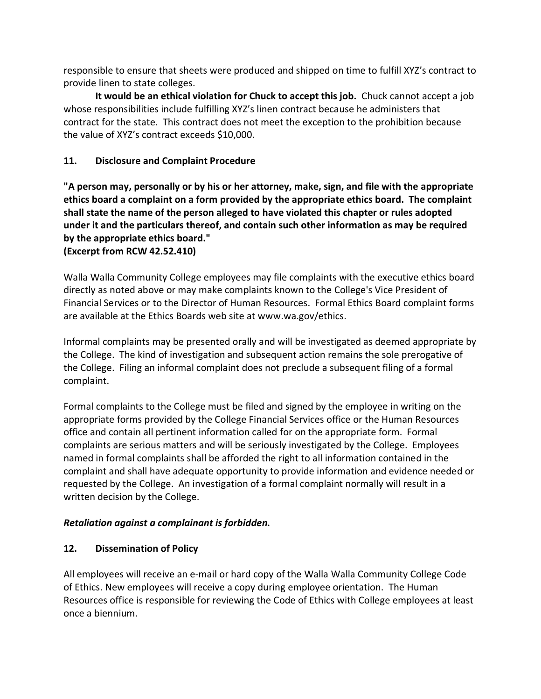responsible to ensure that sheets were produced and shipped on time to fulfill XYZ's contract to provide linen to state colleges.

**It would be an ethical violation for Chuck to accept this job.** Chuck cannot accept a job whose responsibilities include fulfilling XYZ's linen contract because he administers that contract for the state. This contract does not meet the exception to the prohibition because the value of XYZ's contract exceeds \$10,000.

## **11. Disclosure and Complaint Procedure**

**"A person may, personally or by his or her attorney, make, sign, and file with the appropriate ethics board a complaint on a form provided by the appropriate ethics board. The complaint shall state the name of the person alleged to have violated this chapter or rules adopted under it and the particulars thereof, and contain such other information as may be required by the appropriate ethics board."**

**(Excerpt from RCW 42.52.410)**

Walla Walla Community College employees may file complaints with the executive ethics board directly as noted above or may make complaints known to the College's Vice President of Financial Services or to the Director of Human Resources. Formal Ethics Board complaint forms are available at the Ethics Boards web site at www.wa.gov/ethics.

Informal complaints may be presented orally and will be investigated as deemed appropriate by the College. The kind of investigation and subsequent action remains the sole prerogative of the College. Filing an informal complaint does not preclude a subsequent filing of a formal complaint.

Formal complaints to the College must be filed and signed by the employee in writing on the appropriate forms provided by the College Financial Services office or the Human Resources office and contain all pertinent information called for on the appropriate form. Formal complaints are serious matters and will be seriously investigated by the College. Employees named in formal complaints shall be afforded the right to all information contained in the complaint and shall have adequate opportunity to provide information and evidence needed or requested by the College. An investigation of a formal complaint normally will result in a written decision by the College.

## *Retaliation against a complainant is forbidden.*

## **12. Dissemination of Policy**

All employees will receive an e-mail or hard copy of the Walla Walla Community College Code of Ethics. New employees will receive a copy during employee orientation. The Human Resources office is responsible for reviewing the Code of Ethics with College employees at least once a biennium.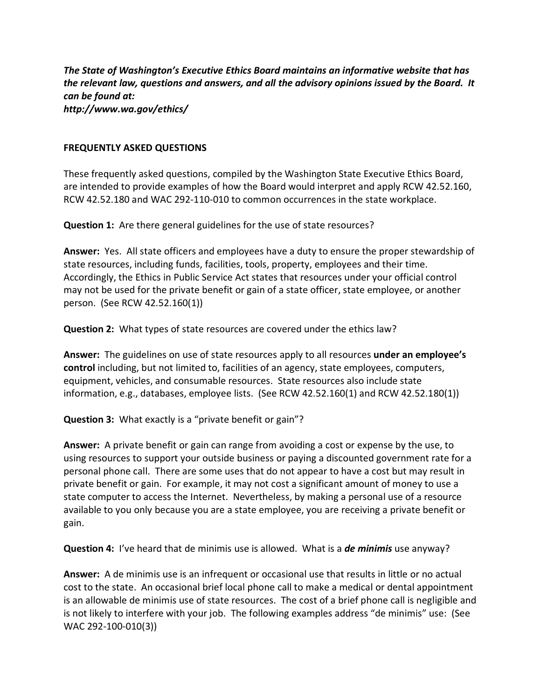*The State of Washington's Executive Ethics Board maintains an informative website that has the relevant law, questions and answers, and all the advisory opinions issued by the Board. It can be found at: http://www.wa.gov/ethics/*

#### **FREQUENTLY ASKED QUESTIONS**

These frequently asked questions, compiled by the Washington State Executive Ethics Board, are intended to provide examples of how the Board would interpret and apply RCW 42.52.160, RCW 42.52.180 and WAC 292-110-010 to common occurrences in the state workplace.

**Question 1:** Are there general guidelines for the use of state resources?

**Answer:** Yes. All state officers and employees have a duty to ensure the proper stewardship of state resources, including funds, facilities, tools, property, employees and their time. Accordingly, the Ethics in Public Service Act states that resources under your official control may not be used for the private benefit or gain of a state officer, state employee, or another person. (See RCW 42.52.160(1))

**Question 2:** What types of state resources are covered under the ethics law?

**Answer:** The guidelines on use of state resources apply to all resources **under an employee's control** including, but not limited to, facilities of an agency, state employees, computers, equipment, vehicles, and consumable resources. State resources also include state information, e.g., databases, employee lists. (See RCW 42.52.160(1) and RCW 42.52.180(1))

**Question 3:** What exactly is a "private benefit or gain"?

**Answer:** A private benefit or gain can range from avoiding a cost or expense by the use, to using resources to support your outside business or paying a discounted government rate for a personal phone call. There are some uses that do not appear to have a cost but may result in private benefit or gain. For example, it may not cost a significant amount of money to use a state computer to access the Internet. Nevertheless, by making a personal use of a resource available to you only because you are a state employee, you are receiving a private benefit or gain.

**Question 4:** I've heard that de minimis use is allowed. What is a *de minimis* use anyway?

**Answer:** A de minimis use is an infrequent or occasional use that results in little or no actual cost to the state. An occasional brief local phone call to make a medical or dental appointment is an allowable de minimis use of state resources. The cost of a brief phone call is negligible and is not likely to interfere with your job. The following examples address "de minimis" use: (See WAC 292-100-010(3))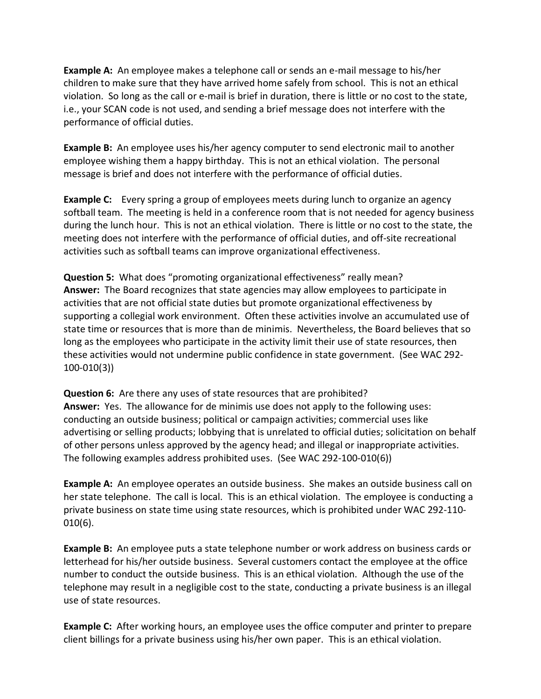**Example A:** An employee makes a telephone call or sends an e-mail message to his/her children to make sure that they have arrived home safely from school. This is not an ethical violation. So long as the call or e-mail is brief in duration, there is little or no cost to the state, i.e., your SCAN code is not used, and sending a brief message does not interfere with the performance of official duties.

**Example B:** An employee uses his/her agency computer to send electronic mail to another employee wishing them a happy birthday. This is not an ethical violation. The personal message is brief and does not interfere with the performance of official duties.

**Example C:** Every spring a group of employees meets during lunch to organize an agency softball team. The meeting is held in a conference room that is not needed for agency business during the lunch hour. This is not an ethical violation. There is little or no cost to the state, the meeting does not interfere with the performance of official duties, and off-site recreational activities such as softball teams can improve organizational effectiveness.

**Question 5:** What does "promoting organizational effectiveness" really mean? **Answer:** The Board recognizes that state agencies may allow employees to participate in activities that are not official state duties but promote organizational effectiveness by supporting a collegial work environment. Often these activities involve an accumulated use of state time or resources that is more than de minimis. Nevertheless, the Board believes that so long as the employees who participate in the activity limit their use of state resources, then these activities would not undermine public confidence in state government. (See WAC 292- 100-010(3))

**Question 6:** Are there any uses of state resources that are prohibited? **Answer:** Yes. The allowance for de minimis use does not apply to the following uses: conducting an outside business; political or campaign activities; commercial uses like advertising or selling products; lobbying that is unrelated to official duties; solicitation on behalf of other persons unless approved by the agency head; and illegal or inappropriate activities. The following examples address prohibited uses. (See WAC 292-100-010(6))

**Example A:** An employee operates an outside business. She makes an outside business call on her state telephone. The call is local. This is an ethical violation. The employee is conducting a private business on state time using state resources, which is prohibited under WAC 292-110- 010(6).

**Example B:** An employee puts a state telephone number or work address on business cards or letterhead for his/her outside business. Several customers contact the employee at the office number to conduct the outside business. This is an ethical violation. Although the use of the telephone may result in a negligible cost to the state, conducting a private business is an illegal use of state resources.

**Example C:** After working hours, an employee uses the office computer and printer to prepare client billings for a private business using his/her own paper. This is an ethical violation.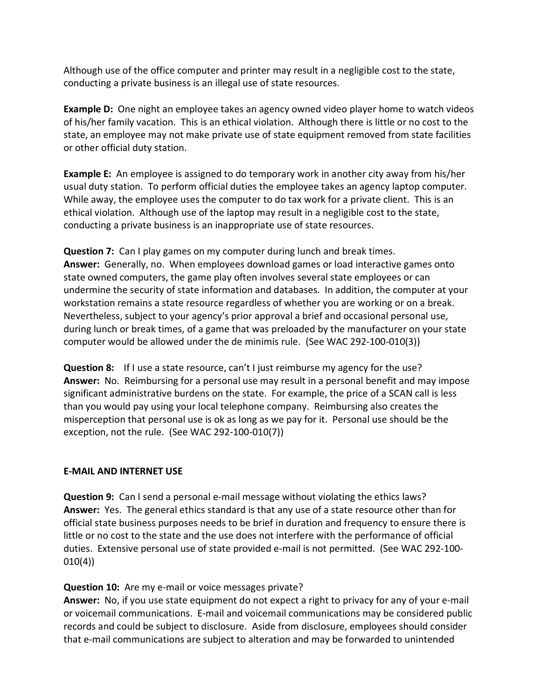Although use of the office computer and printer may result in a negligible cost to the state, conducting a private business is an illegal use of state resources.

**Example D:** One night an employee takes an agency owned video player home to watch videos of his/her family vacation. This is an ethical violation. Although there is little or no cost to the state, an employee may not make private use of state equipment removed from state facilities or other official duty station.

**Example E:** An employee is assigned to do temporary work in another city away from his/her usual duty station. To perform official duties the employee takes an agency laptop computer. While away, the employee uses the computer to do tax work for a private client. This is an ethical violation. Although use of the laptop may result in a negligible cost to the state, conducting a private business is an inappropriate use of state resources.

**Question 7:** Can I play games on my computer during lunch and break times. **Answer:** Generally, no. When employees download games or load interactive games onto state owned computers, the game play often involves several state employees or can undermine the security of state information and databases. In addition, the computer at your workstation remains a state resource regardless of whether you are working or on a break. Nevertheless, subject to your agency's prior approval a brief and occasional personal use, during lunch or break times, of a game that was preloaded by the manufacturer on your state computer would be allowed under the de minimis rule. (See WAC 292-100-010(3))

**Question 8:** If I use a state resource, can't I just reimburse my agency for the use? **Answer:** No. Reimbursing for a personal use may result in a personal benefit and may impose significant administrative burdens on the state. For example, the price of a SCAN call is less than you would pay using your local telephone company. Reimbursing also creates the misperception that personal use is ok as long as we pay for it. Personal use should be the exception, not the rule. (See WAC 292-100-010(7))

## **E-MAIL AND INTERNET USE**

**Question 9:** Can I send a personal e-mail message without violating the ethics laws? **Answer:** Yes. The general ethics standard is that any use of a state resource other than for official state business purposes needs to be brief in duration and frequency to ensure there is little or no cost to the state and the use does not interfere with the performance of official duties. Extensive personal use of state provided e-mail is not permitted. (See WAC 292-100- 010(4))

#### **Question 10:** Are my e-mail or voice messages private?

**Answer:** No, if you use state equipment do not expect a right to privacy for any of your e-mail or voicemail communications. E-mail and voicemail communications may be considered public records and could be subject to disclosure. Aside from disclosure, employees should consider that e-mail communications are subject to alteration and may be forwarded to unintended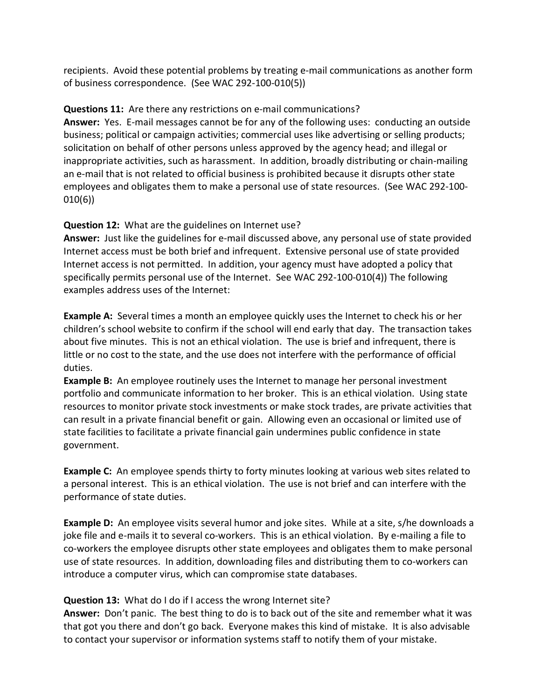recipients. Avoid these potential problems by treating e-mail communications as another form of business correspondence. (See WAC 292-100-010(5))

## **Questions 11:** Are there any restrictions on e-mail communications?

**Answer:** Yes. E-mail messages cannot be for any of the following uses: conducting an outside business; political or campaign activities; commercial uses like advertising or selling products; solicitation on behalf of other persons unless approved by the agency head; and illegal or inappropriate activities, such as harassment. In addition, broadly distributing or chain-mailing an e-mail that is not related to official business is prohibited because it disrupts other state employees and obligates them to make a personal use of state resources. (See WAC 292-100- 010(6))

## **Question 12:** What are the guidelines on Internet use?

**Answer:** Just like the guidelines for e-mail discussed above, any personal use of state provided Internet access must be both brief and infrequent. Extensive personal use of state provided Internet access is not permitted. In addition, your agency must have adopted a policy that specifically permits personal use of the Internet. See WAC 292-100-010(4)) The following examples address uses of the Internet:

**Example A:** Several times a month an employee quickly uses the Internet to check his or her children's school website to confirm if the school will end early that day. The transaction takes about five minutes. This is not an ethical violation. The use is brief and infrequent, there is little or no cost to the state, and the use does not interfere with the performance of official duties.

**Example B:** An employee routinely uses the Internet to manage her personal investment portfolio and communicate information to her broker. This is an ethical violation. Using state resources to monitor private stock investments or make stock trades, are private activities that can result in a private financial benefit or gain. Allowing even an occasional or limited use of state facilities to facilitate a private financial gain undermines public confidence in state government.

**Example C:** An employee spends thirty to forty minutes looking at various web sites related to a personal interest. This is an ethical violation. The use is not brief and can interfere with the performance of state duties.

**Example D:** An employee visits several humor and joke sites. While at a site, s/he downloads a joke file and e-mails it to several co-workers. This is an ethical violation. By e-mailing a file to co-workers the employee disrupts other state employees and obligates them to make personal use of state resources. In addition, downloading files and distributing them to co-workers can introduce a computer virus, which can compromise state databases.

# **Question 13:** What do I do if I access the wrong Internet site?

**Answer:** Don't panic. The best thing to do is to back out of the site and remember what it was that got you there and don't go back. Everyone makes this kind of mistake. It is also advisable to contact your supervisor or information systems staff to notify them of your mistake.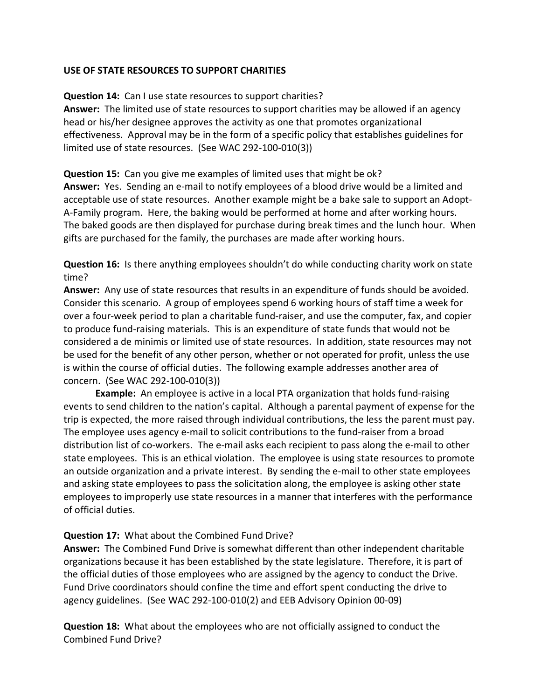#### **USE OF STATE RESOURCES TO SUPPORT CHARITIES**

#### **Question 14:** Can I use state resources to support charities?

**Answer:** The limited use of state resources to support charities may be allowed if an agency head or his/her designee approves the activity as one that promotes organizational effectiveness. Approval may be in the form of a specific policy that establishes guidelines for limited use of state resources. (See WAC 292-100-010(3))

**Question 15:** Can you give me examples of limited uses that might be ok?

**Answer:** Yes. Sending an e-mail to notify employees of a blood drive would be a limited and acceptable use of state resources. Another example might be a bake sale to support an Adopt-A-Family program. Here, the baking would be performed at home and after working hours. The baked goods are then displayed for purchase during break times and the lunch hour. When gifts are purchased for the family, the purchases are made after working hours.

**Question 16:** Is there anything employees shouldn't do while conducting charity work on state time?

**Answer:** Any use of state resources that results in an expenditure of funds should be avoided. Consider this scenario. A group of employees spend 6 working hours of staff time a week for over a four-week period to plan a charitable fund-raiser, and use the computer, fax, and copier to produce fund-raising materials. This is an expenditure of state funds that would not be considered a de minimis or limited use of state resources. In addition, state resources may not be used for the benefit of any other person, whether or not operated for profit, unless the use is within the course of official duties. The following example addresses another area of concern. (See WAC 292-100-010(3))

**Example:** An employee is active in a local PTA organization that holds fund-raising events to send children to the nation's capital. Although a parental payment of expense for the trip is expected, the more raised through individual contributions, the less the parent must pay. The employee uses agency e-mail to solicit contributions to the fund-raiser from a broad distribution list of co-workers. The e-mail asks each recipient to pass along the e-mail to other state employees. This is an ethical violation. The employee is using state resources to promote an outside organization and a private interest. By sending the e-mail to other state employees and asking state employees to pass the solicitation along, the employee is asking other state employees to improperly use state resources in a manner that interferes with the performance of official duties.

## **Question 17:** What about the Combined Fund Drive?

**Answer:** The Combined Fund Drive is somewhat different than other independent charitable organizations because it has been established by the state legislature. Therefore, it is part of the official duties of those employees who are assigned by the agency to conduct the Drive. Fund Drive coordinators should confine the time and effort spent conducting the drive to agency guidelines. (See WAC 292-100-010(2) and EEB Advisory Opinion 00-09)

**Question 18:** What about the employees who are not officially assigned to conduct the Combined Fund Drive?